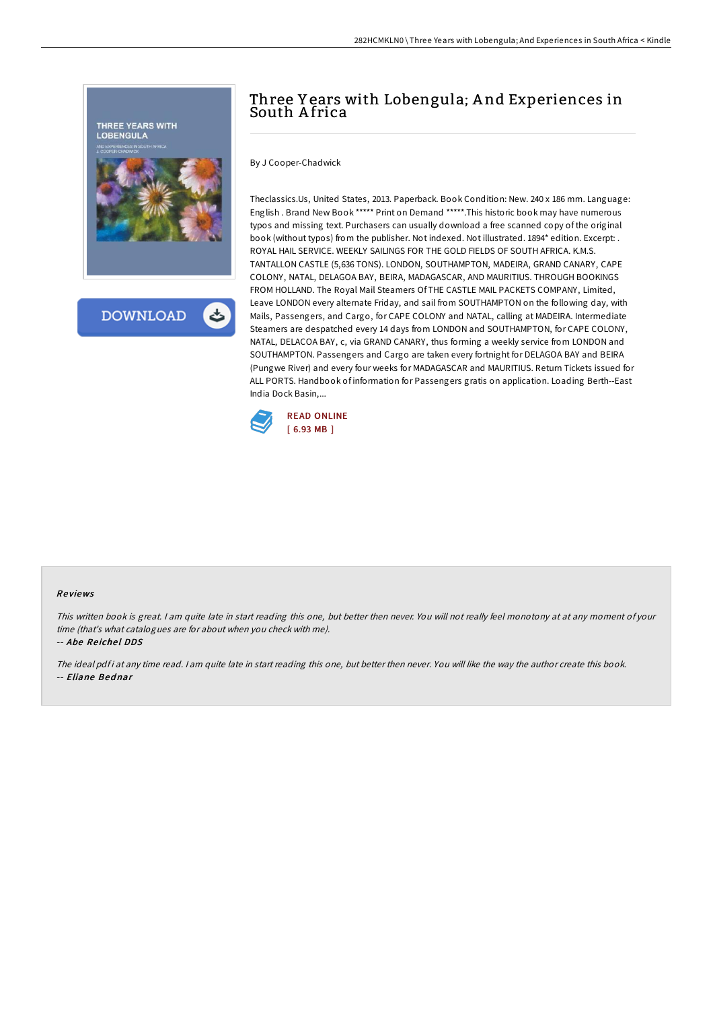

## Three Y ears with Lobengula; A nd Experiences in South Africa

By J Cooper-Chadwick

Theclassics.Us, United States, 2013. Paperback. Book Condition: New. 240 x 186 mm. Language: English . Brand New Book \*\*\*\*\* Print on Demand \*\*\*\*\*.This historic book may have numerous typos and missing text. Purchasers can usually download a free scanned copy of the original book (without typos) from the publisher. Not indexed. Not illustrated. 1894\* edition. Excerpt: . ROYAL HAIL SERVICE. WEEKLY SAILINGS FOR THE GOLD FIELDS OF SOUTH AFRICA. K.M.S. TANTALLON CASTLE (5,636 TONS). LONDON, SOUTHAMPTON, MADEIRA, GRAND CANARY, CAPE COLONY, NATAL, DELAGOA BAY, BEIRA, MADAGASCAR, AND MAURITIUS. THROUGH BOOKINGS FROM HOLLAND. The Royal Mail Steamers Of THE CASTLE MAIL PACKETS COMPANY, Limited, Leave LONDON every alternate Friday, and sail from SOUTHAMPTON on the following day, with Mails, Passengers, and Cargo, for CAPE COLONY and NATAL, calling at MADEIRA. Intermediate Steamers are despatched every 14 days from LONDON and SOUTHAMPTON, for CAPE COLONY, NATAL, DELACOA BAY, c, via GRAND CANARY, thus forming a weekly service from LONDON and SOUTHAMPTON. Passengers and Cargo are taken every fortnight for DELAGOA BAY and BEIRA (Pungwe River) and every four weeks for MADAGASCAR and MAURITIUS. Return Tickets issued for ALL PORTS. Handbook of information for Passengers gratis on application. Loading Berth--East India Dock Basin,...



## Re views

This written book is great. <sup>I</sup> am quite late in start reading this one, but better then never. You will not really feel monotony at at any moment of your time (that's what catalogues are for about when you check with me).

-- Abe Reichel DDS

The ideal pdfi at any time read. I am quite late in start reading this one, but better then never. You will like the way the author create this book. -- Eliane Bednar